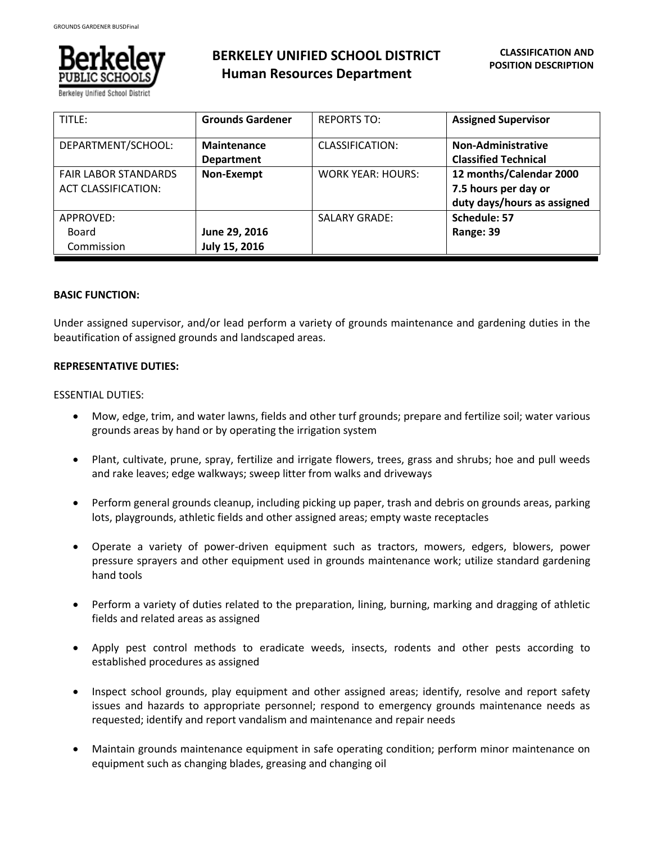

# **BERKELEY UNIFIED SCHOOL DISTRICT Human Resources Department**

| TITLE:                      | <b>Grounds Gardener</b> | <b>REPORTS TO:</b>       | <b>Assigned Supervisor</b>  |
|-----------------------------|-------------------------|--------------------------|-----------------------------|
| DEPARTMENT/SCHOOL:          | <b>Maintenance</b>      | CLASSIFICATION:          | <b>Non-Administrative</b>   |
|                             | <b>Department</b>       |                          | <b>Classified Technical</b> |
| <b>FAIR LABOR STANDARDS</b> | Non-Exempt              | <b>WORK YEAR: HOURS:</b> | 12 months/Calendar 2000     |
| <b>ACT CLASSIFICATION:</b>  |                         |                          | 7.5 hours per day or        |
|                             |                         |                          | duty days/hours as assigned |
| APPROVED:                   |                         | <b>SALARY GRADE:</b>     | Schedule: 57                |
| Board                       | June 29, 2016           |                          | Range: 39                   |
| Commission                  | July 15, 2016           |                          |                             |

## **BASIC FUNCTION:**

Under assigned supervisor, and/or lead perform a variety of grounds maintenance and gardening duties in the beautification of assigned grounds and landscaped areas.

## **REPRESENTATIVE DUTIES:**

#### ESSENTIAL DUTIES:

- Mow, edge, trim, and water lawns, fields and other turf grounds; prepare and fertilize soil; water various grounds areas by hand or by operating the irrigation system
- Plant, cultivate, prune, spray, fertilize and irrigate flowers, trees, grass and shrubs; hoe and pull weeds and rake leaves; edge walkways; sweep litter from walks and driveways
- Perform general grounds cleanup, including picking up paper, trash and debris on grounds areas, parking lots, playgrounds, athletic fields and other assigned areas; empty waste receptacles
- Operate a variety of power-driven equipment such as tractors, mowers, edgers, blowers, power pressure sprayers and other equipment used in grounds maintenance work; utilize standard gardening hand tools
- Perform a variety of duties related to the preparation, lining, burning, marking and dragging of athletic fields and related areas as assigned
- Apply pest control methods to eradicate weeds, insects, rodents and other pests according to established procedures as assigned
- Inspect school grounds, play equipment and other assigned areas; identify, resolve and report safety issues and hazards to appropriate personnel; respond to emergency grounds maintenance needs as requested; identify and report vandalism and maintenance and repair needs
- Maintain grounds maintenance equipment in safe operating condition; perform minor maintenance on equipment such as changing blades, greasing and changing oil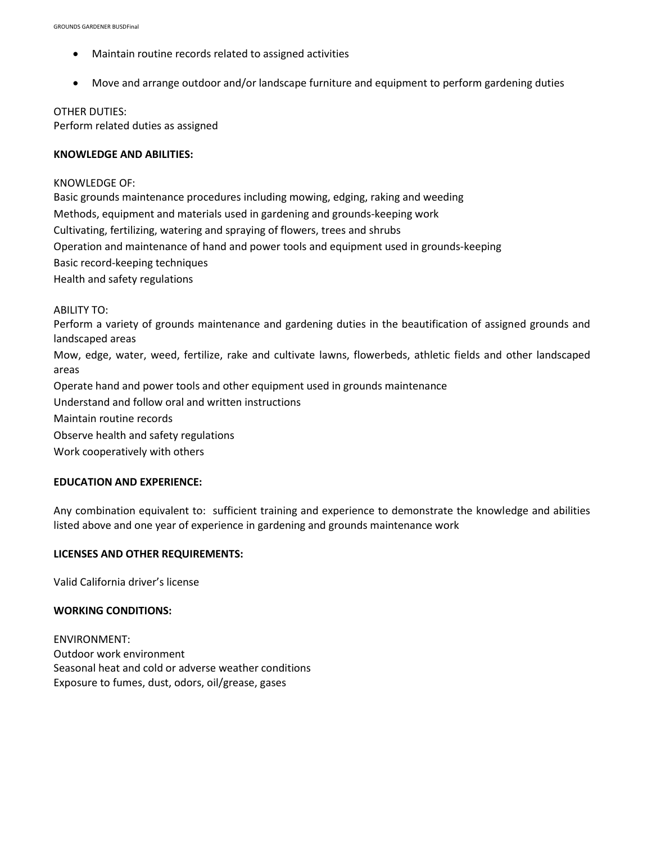- Maintain routine records related to assigned activities
- Move and arrange outdoor and/or landscape furniture and equipment to perform gardening duties

#### OTHER DUTIES:

Perform related duties as assigned

## **KNOWLEDGE AND ABILITIES:**

### KNOWLEDGE OF:

Basic grounds maintenance procedures including mowing, edging, raking and weeding Methods, equipment and materials used in gardening and grounds-keeping work Cultivating, fertilizing, watering and spraying of flowers, trees and shrubs Operation and maintenance of hand and power tools and equipment used in grounds-keeping Basic record-keeping techniques Health and safety regulations

ABILITY TO:

Perform a variety of grounds maintenance and gardening duties in the beautification of assigned grounds and landscaped areas Mow, edge, water, weed, fertilize, rake and cultivate lawns, flowerbeds, athletic fields and other landscaped areas Operate hand and power tools and other equipment used in grounds maintenance Understand and follow oral and written instructions Maintain routine records Observe health and safety regulations Work cooperatively with others

## **EDUCATION AND EXPERIENCE:**

Any combination equivalent to: sufficient training and experience to demonstrate the knowledge and abilities listed above and one year of experience in gardening and grounds maintenance work

## **LICENSES AND OTHER REQUIREMENTS:**

Valid California driver's license

## **WORKING CONDITIONS:**

ENVIRONMENT: Outdoor work environment Seasonal heat and cold or adverse weather conditions Exposure to fumes, dust, odors, oil/grease, gases